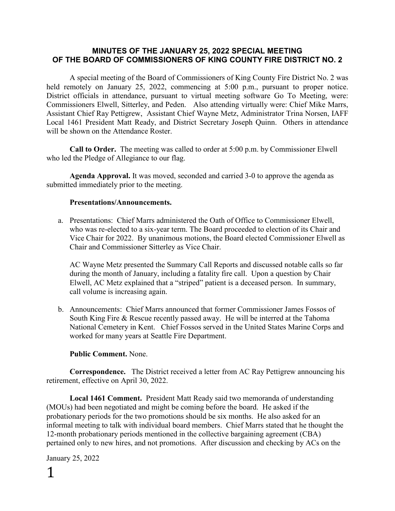### **MINUTES OF THE JANUARY 25, 2022 SPECIAL MEETING OF THE BOARD OF COMMISSIONERS OF KING COUNTY FIRE DISTRICT NO. 2**

A special meeting of the Board of Commissioners of King County Fire District No. 2 was held remotely on January 25, 2022, commencing at 5:00 p.m., pursuant to proper notice. District officials in attendance, pursuant to virtual meeting software Go To Meeting, were: Commissioners Elwell, Sitterley, and Peden. Also attending virtually were: Chief Mike Marrs, Assistant Chief Ray Pettigrew, Assistant Chief Wayne Metz, Administrator Trina Norsen, IAFF Local 1461 President Matt Ready, and District Secretary Joseph Quinn. Others in attendance will be shown on the Attendance Roster.

**Call to Order.** The meeting was called to order at 5:00 p.m. by Commissioner Elwell who led the Pledge of Allegiance to our flag.

**Agenda Approval.** It was moved, seconded and carried 3-0 to approve the agenda as submitted immediately prior to the meeting.

#### **Presentations/Announcements.**

a. Presentations: Chief Marrs administered the Oath of Office to Commissioner Elwell, who was re-elected to a six-year term. The Board proceeded to election of its Chair and Vice Chair for 2022. By unanimous motions, the Board elected Commissioner Elwell as Chair and Commissioner Sitterley as Vice Chair.

AC Wayne Metz presented the Summary Call Reports and discussed notable calls so far during the month of January, including a fatality fire call. Upon a question by Chair Elwell, AC Metz explained that a "striped" patient is a deceased person. In summary, call volume is increasing again.

b. Announcements: Chief Marrs announced that former Commissioner James Fossos of South King Fire & Rescue recently passed away. He will be interred at the Tahoma National Cemetery in Kent. Chief Fossos served in the United States Marine Corps and worked for many years at Seattle Fire Department.

#### **Public Comment.** None.

**Correspondence.** The District received a letter from AC Ray Pettigrew announcing his retirement, effective on April 30, 2022.

**Local 1461 Comment.** President Matt Ready said two memoranda of understanding (MOUs) had been negotiated and might be coming before the board. He asked if the probationary periods for the two promotions should be six months. He also asked for an informal meeting to talk with individual board members. Chief Marrs stated that he thought the 12-month probationary periods mentioned in the collective bargaining agreement (CBA) pertained only to new hires, and not promotions. After discussion and checking by ACs on the

January 25, 2022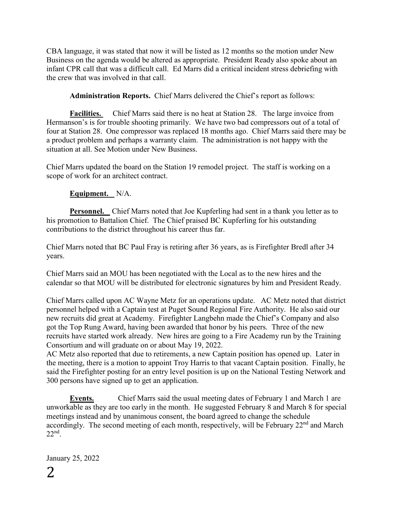CBA language, it was stated that now it will be listed as 12 months so the motion under New Business on the agenda would be altered as appropriate. President Ready also spoke about an infant CPR call that was a difficult call. Ed Marrs did a critical incident stress debriefing with the crew that was involved in that call.

**Administration Reports.** Chief Marrs delivered the Chief's report as follows:

**Facilities.** Chief Marrs said there is no heat at Station 28. The large invoice from Hermanson's is for trouble shooting primarily. We have two bad compressors out of a total of four at Station 28. One compressor was replaced 18 months ago. Chief Marrs said there may be a product problem and perhaps a warranty claim. The administration is not happy with the situation at all. See Motion under New Business.

Chief Marrs updated the board on the Station 19 remodel project. The staff is working on a scope of work for an architect contract.

## **Equipment.** N/A.

**Personnel.** Chief Marrs noted that Joe Kupferling had sent in a thank you letter as to his promotion to Battalion Chief. The Chief praised BC Kupferling for his outstanding contributions to the district throughout his career thus far.

Chief Marrs noted that BC Paul Fray is retiring after 36 years, as is Firefighter Bredl after 34 years.

Chief Marrs said an MOU has been negotiated with the Local as to the new hires and the calendar so that MOU will be distributed for electronic signatures by him and President Ready.

Chief Marrs called upon AC Wayne Metz for an operations update. AC Metz noted that district personnel helped with a Captain test at Puget Sound Regional Fire Authority. He also said our new recruits did great at Academy. Firefighter Langbehn made the Chief's Company and also got the Top Rung Award, having been awarded that honor by his peers. Three of the new recruits have started work already. New hires are going to a Fire Academy run by the Training Consortium and will graduate on or about May 19, 2022.

AC Metz also reported that due to retirements, a new Captain position has opened up. Later in the meeting, there is a motion to appoint Troy Harris to that vacant Captain position. Finally, he said the Firefighter posting for an entry level position is up on the National Testing Network and 300 persons have signed up to get an application.

**Events.** Chief Marrs said the usual meeting dates of February 1 and March 1 are unworkable as they are too early in the month. He suggested February 8 and March 8 for special meetings instead and by unanimous consent, the board agreed to change the schedule accordingly. The second meeting of each month, respectively, will be February  $22<sup>nd</sup>$  and March  $22<sup>nd</sup>$ .

January 25, 2022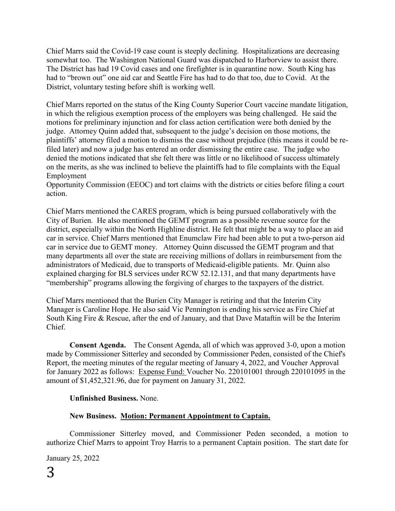Chief Marrs said the Covid-19 case count is steeply declining. Hospitalizations are decreasing somewhat too. The Washington National Guard was dispatched to Harborview to assist there. The District has had 19 Covid cases and one firefighter is in quarantine now. South King has had to "brown out" one aid car and Seattle Fire has had to do that too, due to Covid. At the District, voluntary testing before shift is working well.

Chief Marrs reported on the status of the King County Superior Court vaccine mandate litigation, in which the religious exemption process of the employers was being challenged. He said the motions for preliminary injunction and for class action certification were both denied by the judge. Attorney Quinn added that, subsequent to the judge's decision on those motions, the plaintiffs' attorney filed a motion to dismiss the case without prejudice (this means it could be refiled later) and now a judge has entered an order dismissing the entire case. The judge who denied the motions indicated that she felt there was little or no likelihood of success ultimately on the merits, as she was inclined to believe the plaintiffs had to file complaints with the Equal Employment

Opportunity Commission (EEOC) and tort claims with the districts or cities before filing a court action.

Chief Marrs mentioned the CARES program, which is being pursued collaboratively with the City of Burien. He also mentioned the GEMT program as a possible revenue source for the district, especially within the North Highline district. He felt that might be a way to place an aid car in service. Chief Marrs mentioned that Enumclaw Fire had been able to put a two-person aid car in service due to GEMT money. Attorney Quinn discussed the GEMT program and that many departments all over the state are receiving millions of dollars in reimbursement from the administrators of Medicaid, due to transports of Medicaid-eligible patients. Mr. Quinn also explained charging for BLS services under RCW 52.12.131, and that many departments have "membership" programs allowing the forgiving of charges to the taxpayers of the district.

Chief Marrs mentioned that the Burien City Manager is retiring and that the Interim City Manager is Caroline Hope. He also said Vic Pennington is ending his service as Fire Chief at South King Fire & Rescue, after the end of January, and that Dave Mataftin will be the Interim Chief.

**Consent Agenda.** The Consent Agenda, all of which was approved 3-0, upon a motion made by Commissioner Sitterley and seconded by Commissioner Peden, consisted of the Chief's Report, the meeting minutes of the regular meeting of January 4, 2022, and Voucher Approval for January 2022 as follows: Expense Fund: Voucher No. 220101001 through 220101095 in the amount of \$1,452,321.96, due for payment on January 31, 2022.

## **Unfinished Business.** None.

## **New Business. Motion: Permanent Appointment to Captain.**

Commissioner Sitterley moved, and Commissioner Peden seconded, a motion to authorize Chief Marrs to appoint Troy Harris to a permanent Captain position. The start date for

January 25, 2022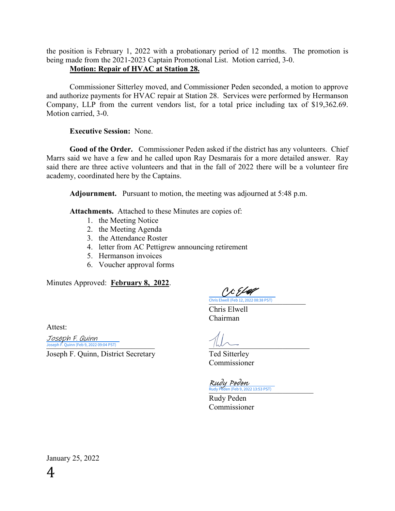the position is February 1, 2022 with a probationary period of 12 months. The promotion is being made from the 2021-2023 Captain Promotional List. Motion carried, 3-0.

## **Motion: Repair of HVAC at Station 28.**

Commissioner Sitterley moved, and Commissioner Peden seconded, a motion to approve and authorize payments for HVAC repair at Station 28. Services were performed by Hermanson Company, LLP from the current vendors list, for a total price including tax of \$19,362.69. Motion carried, 3-0.

## **Executive Session:** None.

**Good of the Order.** Commissioner Peden asked if the district has any volunteers. Chief Marrs said we have a few and he called upon Ray Desmarais for a more detailed answer. Ray said there are three active volunteers and that in the fall of 2022 there will be a volunteer fire academy, coordinated here by the Captains.

**Adjournment.** Pursuant to motion, the meeting was adjourned at 5:48 p.m.

**Attachments.** Attached to these Minutes are copies of:

- 1. the Meeting Notice
- 2. the Meeting Agenda
- 3. the Attendance Roster
- 4. letter from AC Pettigrew announcing retirement
- 5. Hermanson invoices
- 6. Voucher approval forms

Minutes Approved: **February 8, 2022**.

C & & full [\\_\\_\\_\\_\\_\\_\\_\\_\\_\\_\\_\\_\\_\\_\\_\\_\\_\\_\\_\\_\\_\\_\\_\\_\\_](https://na4.documents.adobe.com/verifier?tx=CBJCHBCAABAAmAeyG7lIEzIZpYt9e3wahb1D6F-l2okt) Chris Elwell (Feb 12, 2022 08:38 PST)

Chris Elwell Chairman

Attest:

 $Joseph F.$  Quinn (Feb 9, 2022 09:04 PST) Joseph F. Quinn

Joseph F. Quinn, District Secretary Ted Sitterley

Commissioner

Rudy Peden (Feb 9, 2022 13:53 PST) Rudy Peden

Rudy Peden Commissioner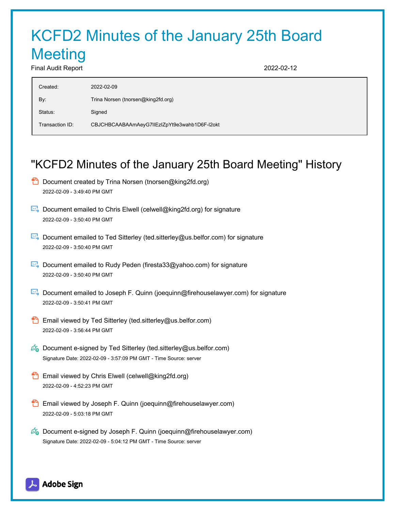# KCFD2 Minutes of the January 25th Board **Meeting** Final Audit Report 2022-02-12

| Created:        | 2022-02-09                                   |
|-----------------|----------------------------------------------|
| By:             | Trina Norsen (tnorsen@king2fd.org)           |
| Status:         | Signed                                       |
| Transaction ID: | CBJCHBCAABAAmAeyG7lIEzIZpYt9e3wahb1D6F-I2okt |

## "KCFD2 Minutes of the January 25th Board Meeting" History

- $\Box$  Document created by Trina Norsen (tnorsen@king2fd.org) 2022-02-09 - 3:49:40 PM GMT
- Document emailed to Chris Elwell (celwell@king2fd.org) for signature 2022-02-09 - 3:50:40 PM GMT
- Document emailed to Ted Sitterley (ted.sitterley@us.belfor.com) for signature 2022-02-09 - 3:50:40 PM GMT
- Document emailed to Rudy Peden (firesta33@yahoo.com) for signature 2022-02-09 - 3:50:40 PM GMT
- Document emailed to Joseph F. Quinn (joequinn@firehouselawyer.com) for signature 2022-02-09 - 3:50:41 PM GMT
- **Email viewed by Ted Sitterley (ted.sitterley@us.belfor.com)** 2022-02-09 - 3:56:44 PM GMT
- $\mathscr{O}_\bullet$  Document e-signed by Ted Sitterley (ted.sitterley@us.belfor.com) Signature Date: 2022-02-09 - 3:57:09 PM GMT - Time Source: server
- **Email viewed by Chris Elwell (celwell@king2fd.org)** 2022-02-09 - 4:52:23 PM GMT
- Email viewed by Joseph F. Quinn (joequinn@firehouselawyer.com) 2022-02-09 - 5:03:18 PM GMT
- $\mathscr{O}_\bullet$  Document e-signed by Joseph F. Quinn (joequinn@firehouselawyer.com) Signature Date: 2022-02-09 - 5:04:12 PM GMT - Time Source: server